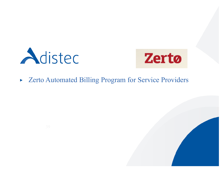



### Zerto Automated Billing Program for Service Providers  $\blacktriangleright$

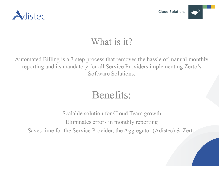



### What is it?

Automated Billing is a 3 step process that removes the hassle of manual monthly reporting and its mandatory for all Service Providers implementing Zerto's Software Solutions.

# Benefits:

Scalable solution for Cloud Team growth Eliminates errors in monthly reporting Saves time for the Service Provider, the Aggregator (Adistec) & Zerto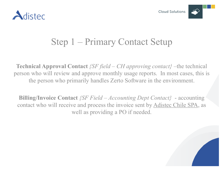





### Step 1 – Primary Contact Setup

**Technical Approval Contact** *{SF field – CH approving contact}* –the technical person who will review and approve monthly usage reports. In most cases, this is the person who primarily handles Zerto Software in the environment.

**Billing/Invoice Contact** *{SF Field – Accounting Dept Contact}* - accounting contact who will receive and process the invoice sent by Adistec Chile SPA, as well as providing a PO if needed.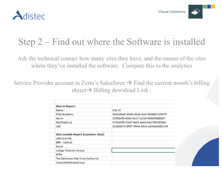



### Step 2 – Find out where the Software is installed

Ask the technical contact how many sites they have, and the names of the sites where they've installed the software. Compare this to the analytics

Service Provider account in Zerto's Salesforce  $\rightarrow$  Find the current month's billing  $object \rightarrow$  Billing download Link :

| <b>Sites in Report:</b>                |                                      |
|----------------------------------------|--------------------------------------|
| Name                                   | Site ID                              |
| PQA Academy                            | 94dc90a0-40db-4bde-a4cf-8468912047ff |
| Azure                                  | 32f06ef8-e0e0-4a17-b23d-969effe88807 |
| MyDRaaS-v2                             | 075e06fe-35af-4be3-aea0-ea2780c8fa9a |
| LAB                                    | d2db0070-8f97-464e-83cb-ad46e9692244 |
| Sites outside Report (customer sites): |                                      |
| LabCorp-HQ                             |                                      |
| <b>BBR</b> - Softcat                   |                                      |
| Ascot                                  |                                      |
| Indigo Telecom Group                   |                                      |
| <b>Biffa</b>                           |                                      |
| The Bahamas Maritime Authority         |                                      |
| CompleteMoneyGroup                     |                                      |
|                                        |                                      |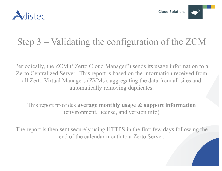

## Step 3 – Validating the configuration of the ZCM

Periodically, the ZCM ("Zerto Cloud Manager") sends its usage information to a Zerto Centralized Server. This report is based on the information received from all Zerto Virtual Managers (ZVMs), aggregating the data from all sites and automatically removing duplicates.

This report provides **average monthly usage & support information**  (environment, license, and version info)

The report is then sent securely using HTTPS in the first few days following the end of the calendar month to a Zerto Server.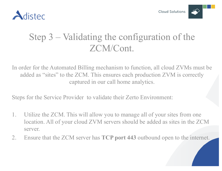

### Step 3 – Validating the configuration of the ZCM/Cont.

In order for the Automated Billing mechanism to function, all cloud ZVMs must be added as "sites" to the ZCM. This ensures each production ZVM is correctly captured in our call home analytics.

Steps for the Service Provider to validate their Zerto Environment:

- 1. Utilize the ZCM. This will allow you to manage all of your sites from one location. All of your cloud ZVM servers should be added as sites in the ZCM server.
- 2. Ensure that the ZCM server has **TCP port 443** outbound open to the internet.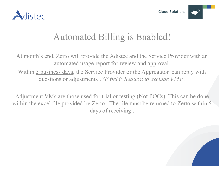



### Automated Billing is Enabled!

At month's end, Zerto will provide the Adistec and the Service Provider with an automated usage report for review and approval.

Within 5 business days, the Service Provider or the Aggregator can reply with questions or adjustments *{SF field: Request to exclude VMs}.*

Adjustment VMs are those used for trial or testing (Not POCs). This can be done within the excel file provided by Zerto. The file must be returned to Zerto within 5 days of receiving .

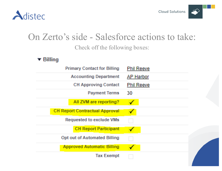

### On Zerto's side - Salesforce actions to take: Check off the following boxes:

 $\blacktriangledown$  Billing

| <b>Phil Reeve</b> |
|-------------------|
| <b>AP Harbor</b>  |
| <b>Phil Reeve</b> |
| 30                |
|                   |
|                   |
| $\vdots$          |
|                   |
| w                 |
|                   |
|                   |
|                   |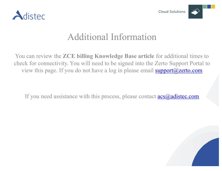



### Additional Information

You can review the **ZCE billing Knowledge Base article** for additional times to check for connectivity. You will need to be signed into the Zerto Support Portal to view this page. If you do not have a log in please email  $\frac{\text{support}(a\text{zerto.com})}{\text{support}(a\text{zerto.com})}$ 

If you need assistance with this process, please contact  $\frac{acs(a) \text{adistec.com}}{acs(a)}$